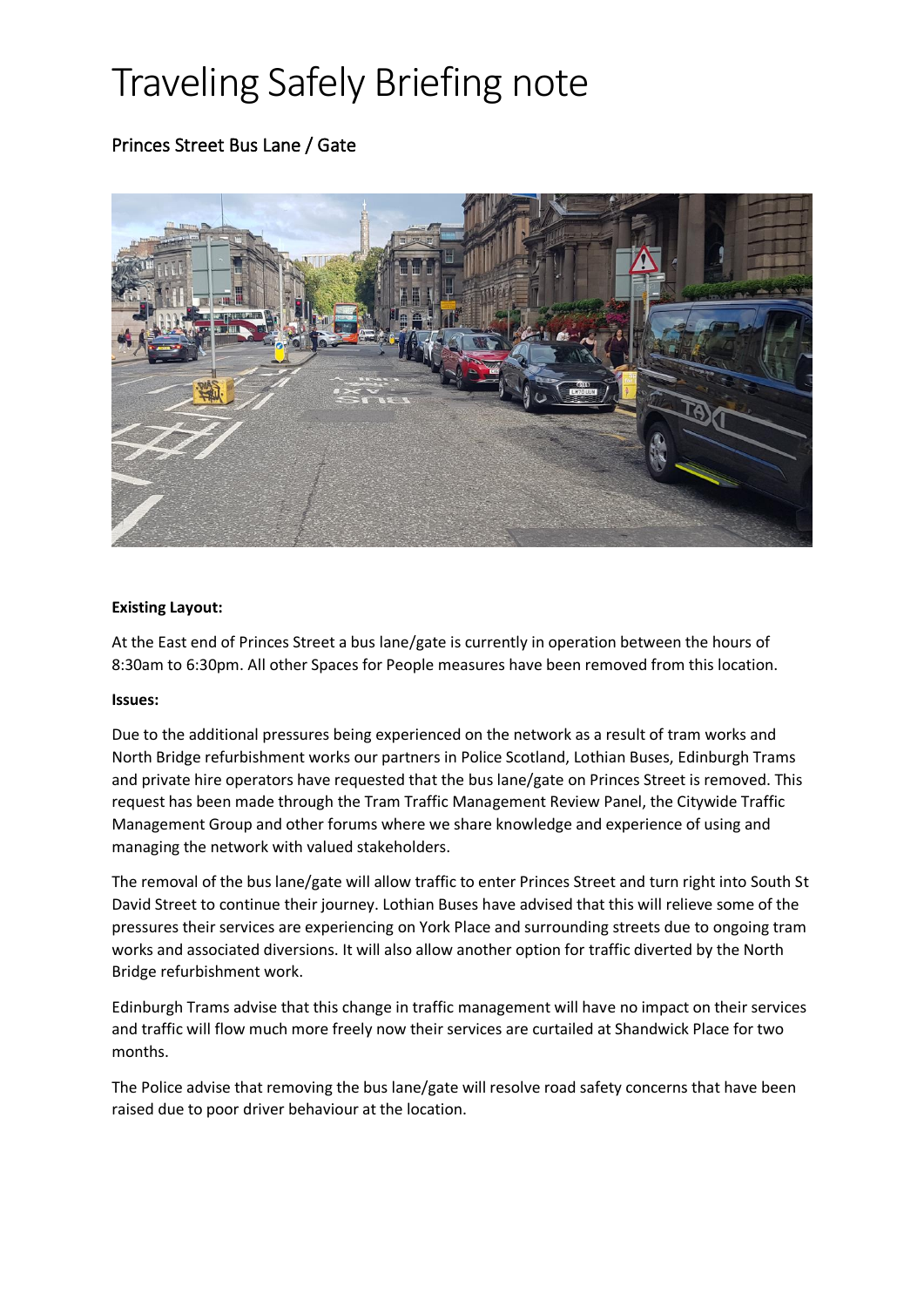# Traveling Safely Briefing note

# Princes Street Bus Lane / Gate



# **Existing Layout:**

At the East end of Princes Street a bus lane/gate is currently in operation between the hours of 8:30am to 6:30pm. All other Spaces for People measures have been removed from this location.

#### **Issues:**

Due to the additional pressures being experienced on the network as a result of tram works and North Bridge refurbishment works our partners in Police Scotland, Lothian Buses, Edinburgh Trams and private hire operators have requested that the bus lane/gate on Princes Street is removed. This request has been made through the Tram Traffic Management Review Panel, the Citywide Traffic Management Group and other forums where we share knowledge and experience of using and managing the network with valued stakeholders.

The removal of the bus lane/gate will allow traffic to enter Princes Street and turn right into South St David Street to continue their journey. Lothian Buses have advised that this will relieve some of the pressures their services are experiencing on York Place and surrounding streets due to ongoing tram works and associated diversions. It will also allow another option for traffic diverted by the North Bridge refurbishment work.

Edinburgh Trams advise that this change in traffic management will have no impact on their services and traffic will flow much more freely now their services are curtailed at Shandwick Place for two months.

The Police advise that removing the bus lane/gate will resolve road safety concerns that have been raised due to poor driver behaviour at the location.